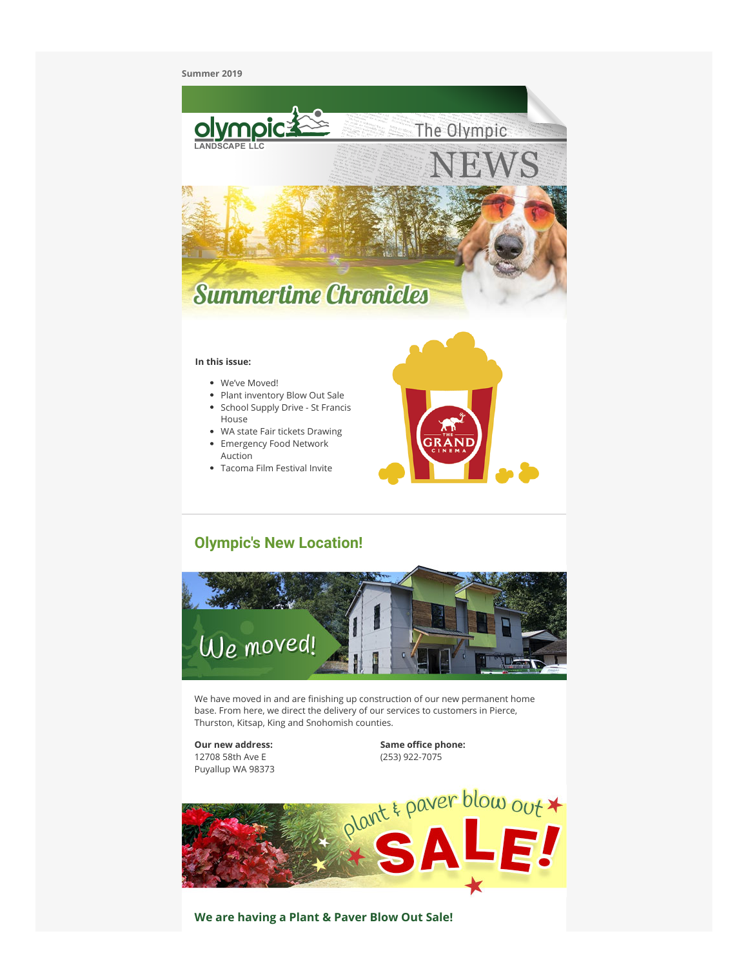#### **Summer 2019**



- WA state Fair tickets Drawing
- Emergency Food Network Auction
- Tacoma Film Festival Invite



# **Olympic's New Location!**



We have moved in and are finishing up construction of our new permanent home base. From here, we direct the delivery of our services to customers in Pierce, Thurston, Kitsap, King and Snohomish counties.

**Our new address:** 12708 58th Ave E Puyallup WA 98373 **Same office phone:** (253) 922-7075



**We are having a Plant & Paver Blow Out Sale!**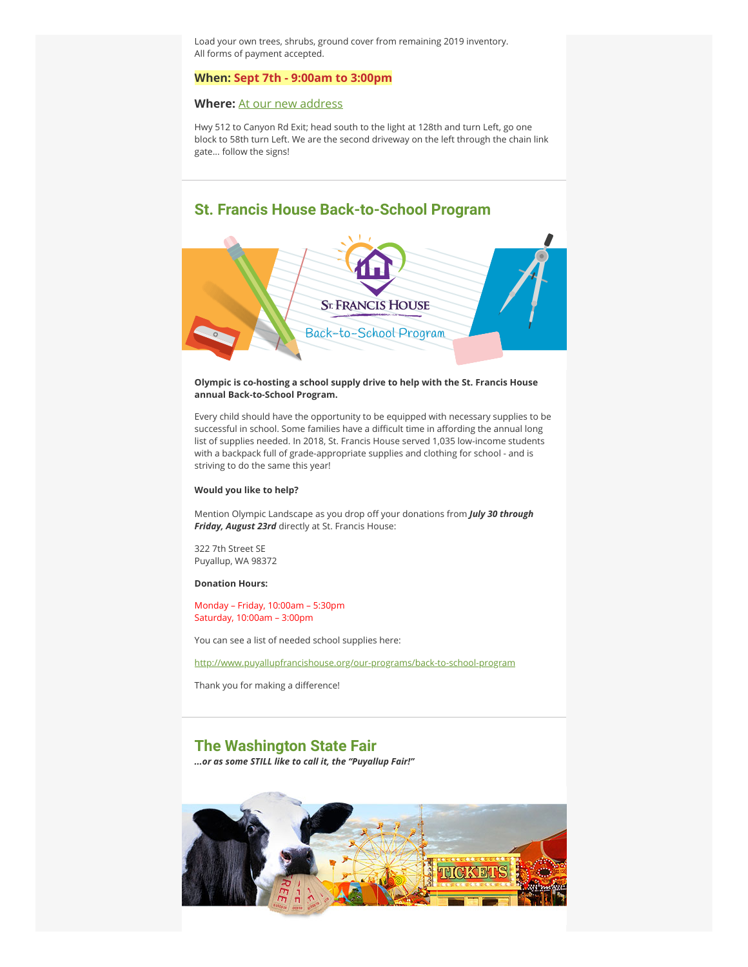Load your own trees, shrubs, ground cover from remaining 2019 inventory. All forms of payment accepted.

### **When: Sept 7th - 9:00am to 3:00pm**

### **Where:** [At our new address](https://click.icptrack.com/icp/rclick.php?cid=267924&mid=789107&destination=https%3A%2F%2Fgoo.gl%2Fmaps%2FfqFRrrJWkiv5woxdA)

Hwy 512 to Canyon Rd Exit; head south to the light at 128th and turn Left, go one block to 58th turn Left. We are the second driveway on the left through the chain link gate... follow the signs!

### **St. Francis House Back-to-School Program**



#### **Olympic is co-hosting a school supply drive to help with the St. Francis House annual Back-to-School Program.**

Every child should have the opportunity to be equipped with necessary supplies to be successful in school. Some families have a difficult time in affording the annual long list of supplies needed. In 2018, St. Francis House served 1,035 low-income students with a backpack full of grade-appropriate supplies and clothing for school - and is striving to do the same this year!

#### **Would you like to help?**

Mention Olympic Landscape as you drop off your donations from *July 30 through Friday, August 23rd* directly at St. Francis House:

322 7th Street SE Puyallup, WA 98372

**Donation Hours:**

Monday – Friday, 10:00am – 5:30pm Saturday, 10:00am – 3:00pm

You can see a list of needed school supplies here:

[http://www.puyallupfrancishouse.org/our-programs/back-to-school-program](https://click.icptrack.com/icp/rclick.php?cid=267924&mid=789107&destination=http%3A%2F%2Fwww.puyallupfrancishouse.org%2Four-programs%2Fback-to-school-program)

Thank you for making a difference!

## **The Washington State Fair**

*...or as some STILL like to call it, the "Puyallup Fair!"*

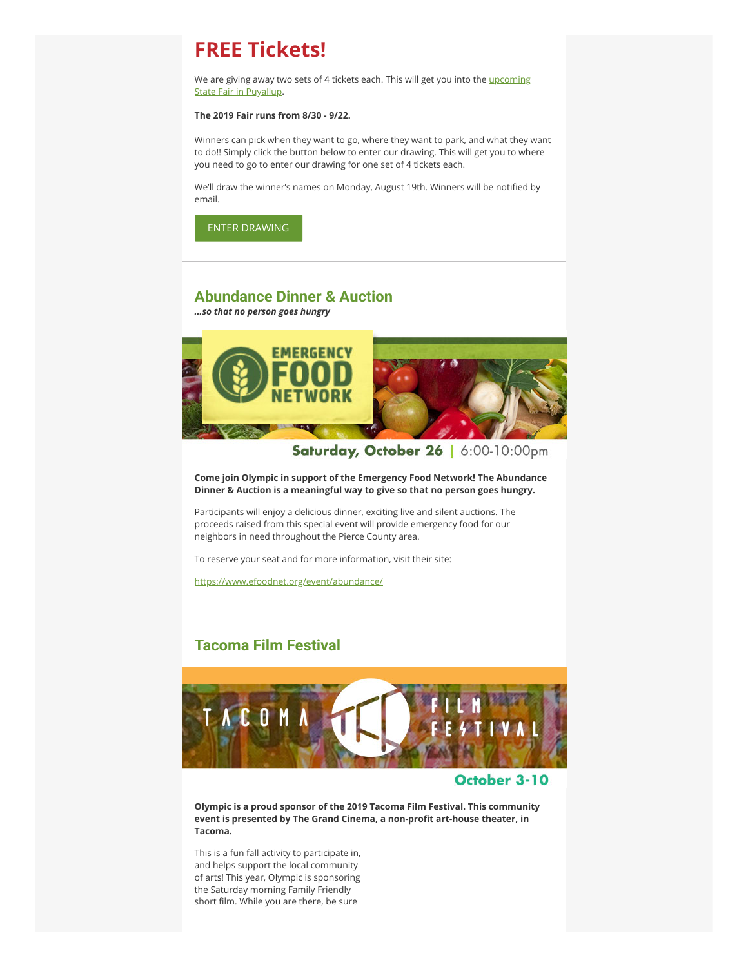# **FREE Tickets!**

We are giving away two sets of 4 tickets each. This will get you into the *upcoming* State Fair in Puyallup.

### **The 2019 Fair runs from 8/30 - 9/22.**

Winners can pick when they want to go, where they want to park, and what they want to do!! Simply click the button below to enter our drawing. This will get you to where you need to go to enter our drawing for one set of 4 tickets each.

We'll draw the winner's names on Monday, August 19th. Winners will be notified by email.

[ENTER DRAWING](https://click.icptrack.com/icp/rclick.php?cid=267924&mid=789107&destination=https%3A%2F%2Fwww.olympiclandscape.com%2Fpromotion)

### **Abundance Dinner & Auction**

*...so that no person goes hungry*



Saturday, October 26 | 6:00-10:00pm

**Come join Olympic in support of the Emergency Food Network! The Abundance Dinner & Auction is a meaningful way to give so that no person goes hungry.**

Participants will enjoy a delicious dinner, exciting live and silent auctions. The proceeds raised from this special event will provide emergency food for our neighbors in need throughout the Pierce County area.

To reserve your seat and for more information, visit their site:

[https://www.efoodnet.org/event/abundance/](https://click.icptrack.com/icp/rclick.php?cid=267924&mid=789107&destination=https%3A%2F%2Fwww.efoodnet.org%2Fevent%2Fabundance%2F)

# **Tacoma Film Festival**



### October 3-10

**Olympic is a proud sponsor of the 2019 Tacoma Film Festival. This community** event is presented by The Grand Cinema, a non-profit art-house theater, in **Tacoma.** 

This is a fun fall activity to participate in, and helps support the local community of arts! This year, Olympic is sponsoring the Saturday morning Family Friendly short film. While you are there, be sure